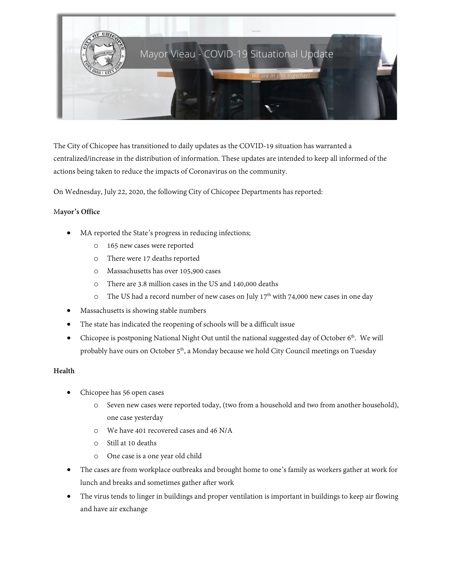

The City of Chicopee has transitioned to daily updates as the COVID-19 situation has warranted a centralized/increase in the distribution of information. These updates are intended to keep all informed of the actions being taken to reduce the impacts of Coronavirus on the community.

On Wednesday, July 22, 2020, the following City of Chicopee Departments has reported:

## M**ayor's Office**

- MA reported the State's progress in reducing infections;
	- o 165 new cases were reported
	- o There were 17 deaths reported
	- o Massachusetts has over 105,900 cases
	- o There are 3.8 million cases in the US and 140,000 deaths
	- $\circ$  The US had a record number of new cases on July 17<sup>th</sup> with 74,000 new cases in one day
- Massachusetts is showing stable numbers
- The state has indicated the reopening of schools will be a difficult issue
- Chicopee is postponing National Night Out until the national suggested day of October  $6<sup>th</sup>$ . We will probably have ours on October 5<sup>th</sup>, a Monday because we hold City Council meetings on Tuesday

# **Health**

- Chicopee has 56 open cases
	- o Seven new cases were reported today, (two from a household and two from another household), one case yesterday
	- o We have 401 recovered cases and 46 N/A
	- o Still at 10 deaths
	- o One case is a one year old child
- The cases are from workplace outbreaks and brought home to one's family as workers gather at work for lunch and breaks and sometimes gather after work
- The virus tends to linger in buildings and proper ventilation is important in buildings to keep air flowing and have air exchange